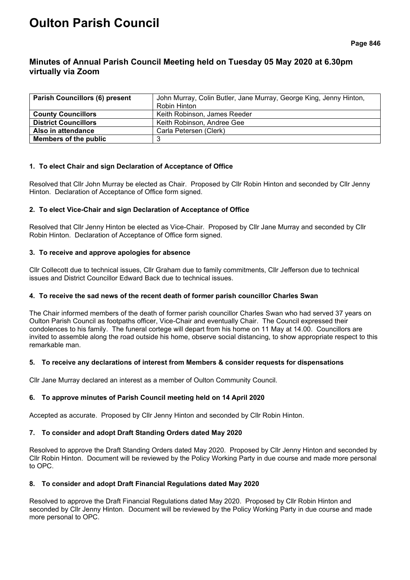# **Oulton Parish Council**

# **Minutes of Annual Parish Council Meeting held on Tuesday 05 May 2020 at 6.30pm virtually via Zoom**

| <b>Parish Councillors (6) present</b> | John Murray, Colin Butler, Jane Murray, George King, Jenny Hinton, |  |
|---------------------------------------|--------------------------------------------------------------------|--|
|                                       | Robin Hinton                                                       |  |
| <b>County Councillors</b>             | Keith Robinson, James Reeder                                       |  |
| <b>District Councillors</b>           | Keith Robinson, Andree Gee                                         |  |
| Also in attendance                    | Carla Petersen (Clerk)                                             |  |
| Members of the public                 |                                                                    |  |

# **1. To elect Chair and sign Declaration of Acceptance of Office**

Resolved that Cllr John Murray be elected as Chair. Proposed by Cllr Robin Hinton and seconded by Cllr Jenny Hinton. Declaration of Acceptance of Office form signed.

# **2. To elect Vice-Chair and sign Declaration of Acceptance of Office**

Resolved that Cllr Jenny Hinton be elected as Vice-Chair. Proposed by Cllr Jane Murray and seconded by Cllr Robin Hinton. Declaration of Acceptance of Office form signed.

# **3. To receive and approve apologies for absence**

Cllr Collecott due to technical issues, Cllr Graham due to family commitments, Cllr Jefferson due to technical issues and District Councillor Edward Back due to technical issues.

# **4. To receive the sad news of the recent death of former parish councillor Charles Swan**

The Chair informed members of the death of former parish councillor Charles Swan who had served 37 years on Oulton Parish Council as footpaths officer, Vice-Chair and eventually Chair. The Council expressed their condolences to his family. The funeral cortege will depart from his home on 11 May at 14.00. Councillors are invited to assemble along the road outside his home, observe social distancing, to show appropriate respect to this remarkable man.

# **5. To receive any declarations of interest from Members & consider requests for dispensations**

Cllr Jane Murray declared an interest as a member of Oulton Community Council.

# **6. To approve minutes of Parish Council meeting held on 14 April 2020**

Accepted as accurate. Proposed by Cllr Jenny Hinton and seconded by Cllr Robin Hinton.

# **7. To consider and adopt Draft Standing Orders dated May 2020**

Resolved to approve the Draft Standing Orders dated May 2020. Proposed by Cllr Jenny Hinton and seconded by Cllr Robin Hinton. Document will be reviewed by the Policy Working Party in due course and made more personal to OPC.

# **8. To consider and adopt Draft Financial Regulations dated May 2020**

Resolved to approve the Draft Financial Regulations dated May 2020. Proposed by Cllr Robin Hinton and seconded by Cllr Jenny Hinton. Document will be reviewed by the Policy Working Party in due course and made more personal to OPC.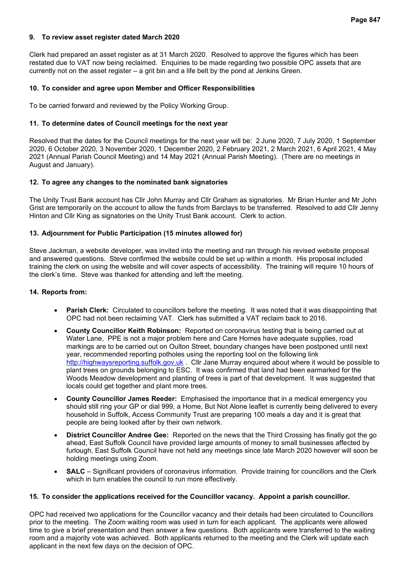#### **9. To review asset register dated March 2020**

Clerk had prepared an asset register as at 31 March 2020. Resolved to approve the figures which has been restated due to VAT now being reclaimed. Enquiries to be made regarding two possible OPC assets that are currently not on the asset register – a grit bin and a life belt by the pond at Jenkins Green.

#### **10. To consider and agree upon Member and Officer Responsibilities**

To be carried forward and reviewed by the Policy Working Group.

#### **11. To determine dates of Council meetings for the next year**

Resolved that the dates for the Council meetings for the next year will be: 2 June 2020, 7 July 2020, 1 September 2020, 6 October 2020, 3 November 2020, 1 December 2020, 2 February 2021, 2 March 2021, 6 April 2021, 4 May 2021 (Annual Parish Council Meeting) and 14 May 2021 (Annual Parish Meeting). (There are no meetings in August and January).

#### **12. To agree any changes to the nominated bank signatories**

The Unity Trust Bank account has Cllr John Murray and Cllr Graham as signatories. Mr Brian Hunter and Mr John Grist are temporarily on the account to allow the funds from Barclays to be transferred. Resolved to add Cllr Jenny Hinton and Cllr King as signatories on the Unity Trust Bank account. Clerk to action.

#### **13. Adjournment for Public Participation (15 minutes allowed for)**

Steve Jackman, a website developer, was invited into the meeting and ran through his revised website proposal and answered questions. Steve confirmed the website could be set up within a month. His proposal included training the clerk on using the website and will cover aspects of accessibility. The training will require 10 hours of the clerk's time. Steve was thanked for attending and left the meeting.

#### **14. Reports from:**

- **Parish Clerk:** Circulated to councillors before the meeting. It was noted that it was disappointing that OPC had not been reclaiming VAT. Clerk has submitted a VAT reclaim back to 2016.
- **County Councillor Keith Robinson:** Reported on coronavirus testing that is being carried out at Water Lane, PPE is not a major problem here and Care Homes have adequate supplies, road markings are to be carried out on Oulton Street, boundary changes have been postponed until next year, recommended reporting potholes using the reporting tool on the following link [http://highwaysreporting.suffolk.gov.uk](http://highwaysreporting.suffolk.gov.uk/) . Cllr Jane Murray enquired about where it would be possible to plant trees on grounds belonging to ESC. It was confirmed that land had been earmarked for the Woods Meadow development and planting of trees is part of that development. It was suggested that locals could get together and plant more trees.
- **County Councillor James Reeder:** Emphasised the importance that in a medical emergency you should still ring your GP or dial 999, a Home, But Not Alone leaflet is currently being delivered to every household in Suffolk, Access Community Trust are preparing 100 meals a day and it is great that people are being looked after by their own network.
- **District Councillor Andree Gee:** Reported on the news that the Third Crossing has finally got the go ahead, East Suffolk Council have provided large amounts of money to small businesses affected by furlough, East Suffolk Council have not held any meetings since late March 2020 however will soon be holding meetings using Zoom.
- **SALC**  Significant providers of coronavirus information. Provide training for councillors and the Clerk which in turn enables the council to run more effectively.

#### **15. To consider the applications received for the Councillor vacancy. Appoint a parish councillor.**

OPC had received two applications for the Councillor vacancy and their details had been circulated to Councillors prior to the meeting. The Zoom waiting room was used in turn for each applicant. The applicants were allowed time to give a brief presentation and then answer a few questions. Both applicants were transferred to the waiting room and a majority vote was achieved. Both applicants returned to the meeting and the Clerk will update each applicant in the next few days on the decision of OPC.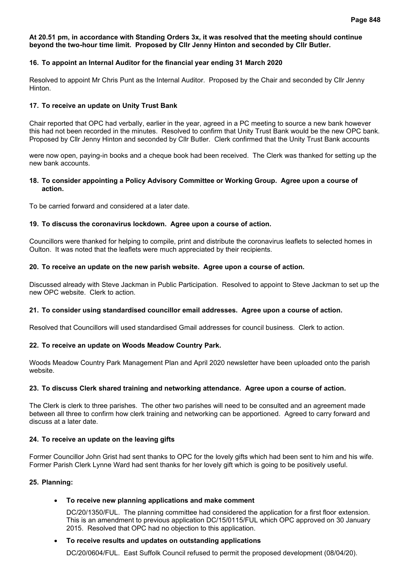#### **At 20.51 pm, in accordance with Standing Orders 3x, it was resolved that the meeting should continue beyond the two-hour time limit. Proposed by Cllr Jenny Hinton and seconded by Cllr Butler.**

# **16. To appoint an Internal Auditor for the financial year ending 31 March 2020**

Resolved to appoint Mr Chris Punt as the Internal Auditor. Proposed by the Chair and seconded by Cllr Jenny Hinton.

# **17. To receive an update on Unity Trust Bank**

Chair reported that OPC had verbally, earlier in the year, agreed in a PC meeting to source a new bank however this had not been recorded in the minutes. Resolved to confirm that Unity Trust Bank would be the new OPC bank. Proposed by Cllr Jenny Hinton and seconded by Cllr Butler. Clerk confirmed that the Unity Trust Bank accounts

were now open, paying-in books and a cheque book had been received. The Clerk was thanked for setting up the new bank accounts.

#### **18. To consider appointing a Policy Advisory Committee or Working Group. Agree upon a course of action.**

To be carried forward and considered at a later date.

# **19. To discuss the coronavirus lockdown. Agree upon a course of action.**

Councillors were thanked for helping to compile, print and distribute the coronavirus leaflets to selected homes in Oulton. It was noted that the leaflets were much appreciated by their recipients.

# **20. To receive an update on the new parish website. Agree upon a course of action.**

Discussed already with Steve Jackman in Public Participation. Resolved to appoint to Steve Jackman to set up the new OPC website. Clerk to action.

# **21. To consider using standardised councillor email addresses. Agree upon a course of action.**

Resolved that Councillors will used standardised Gmail addresses for council business. Clerk to action.

# **22. To receive an update on Woods Meadow Country Park.**

Woods Meadow Country Park Management Plan and April 2020 newsletter have been uploaded onto the parish website.

# **23. To discuss Clerk shared training and networking attendance. Agree upon a course of action.**

The Clerk is clerk to three parishes. The other two parishes will need to be consulted and an agreement made between all three to confirm how clerk training and networking can be apportioned. Agreed to carry forward and discuss at a later date.

# **24. To receive an update on the leaving gifts**

Former Councillor John Grist had sent thanks to OPC for the lovely gifts which had been sent to him and his wife. Former Parish Clerk Lynne Ward had sent thanks for her lovely gift which is going to be positively useful.

# **25. Planning:**

# • **To receive new planning applications and make comment**

DC/20/1350/FUL. The planning committee had considered the application for a first floor extension. This is an amendment to previous application DC/15/0115/FUL which OPC approved on 30 January 2015. Resolved that OPC had no objection to this application.

# • **To receive results and updates on outstanding applications**

DC/20/0604/FUL. East Suffolk Council refused to permit the proposed development (08/04/20).